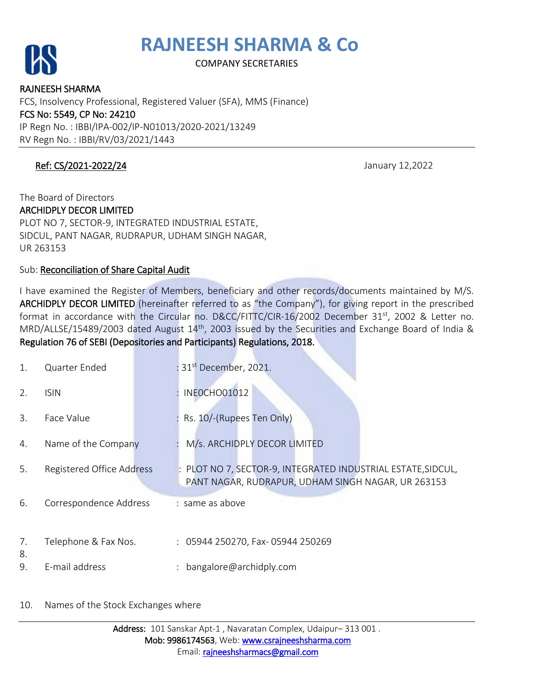

COMPANY SECRETARIES

RAJNEESH SHARMA FCS, Insolvency Professional, Registered Valuer (SFA), MMS (Finance) FCS No: 5549, CP No: 24210 IP Regn No. : IBBI/IPA-002/IP-N01013/2020-2021/13249 RV Regn No. : IBBI/RV/03/2021/1443

### Ref: CS/2021-2022/24 January 12,2022

### The Board of Directors ARCHIDPLY DECOR LIMITED PLOT NO 7, SECTOR-9, INTEGRATED INDUSTRIAL ESTATE, SIDCUL, PANT NAGAR, RUDRAPUR, UDHAM SINGH NAGAR,

UR 263153

Sub: Reconciliation of Share Capital Audit

I have examined the Register of Members, beneficiary and other records/documents maintained by M/S. ARCHIDPLY DECOR LIMITED (hereinafter referred to as "the Company"), for giving report in the prescribed format in accordance with the Circular no. D&CC/FITTC/CIR-16/2002 December 31<sup>st</sup>, 2002 & Letter no. MRD/ALLSE/15489/2003 dated August 14<sup>th</sup>, 2003 issued by the Securities and Exchange Board of India & Regulation 76 of SEBI (Depositories and Participants) Regulations, 2018.

| 1.       | Quarter Ended             | : 31 <sup>st</sup> December, 2021.                                                                               |
|----------|---------------------------|------------------------------------------------------------------------------------------------------------------|
| 2.       | <b>ISIN</b>               | INEOCHO01012                                                                                                     |
| 3.       | Face Value                | Rs. 10/-(Rupees Ten Only)                                                                                        |
| 4.       | Name of the Company       | M/s. ARCHIDPLY DECOR LIMITED                                                                                     |
| 5.       | Registered Office Address | PLOT NO 7, SECTOR-9, INTEGRATED INDUSTRIAL ESTATE, SIDCUL,<br>PANT NAGAR, RUDRAPUR, UDHAM SINGH NAGAR, UR 263153 |
| 6.       | Correspondence Address    | : same as above                                                                                                  |
| 7.<br>8. | Telephone & Fax Nos.      | : 05944 250270, Fax-05944 250269                                                                                 |
| 9.       | E-mail address            | bangalore@archidply.com                                                                                          |

### 10. Names of the Stock Exchanges where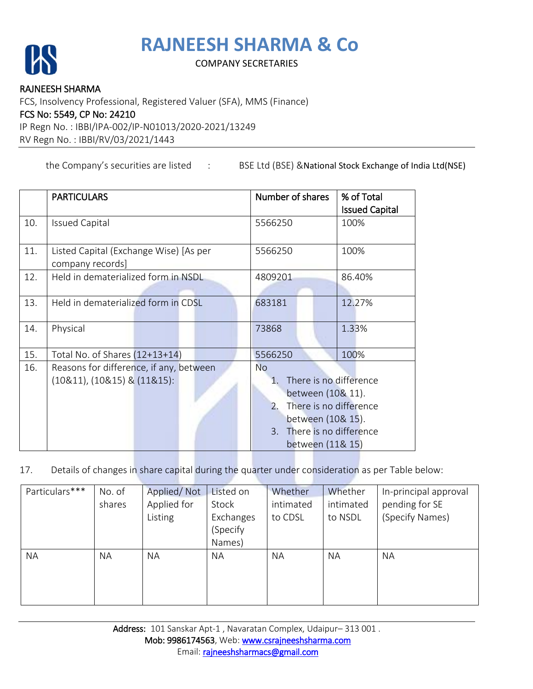

### COMPANY SECRETARIES

#### RAJNEESH SHARMA

FCS, Insolvency Professional, Registered Valuer (SFA), MMS (Finance)

#### FCS No: 5549, CP No: 24210

IP Regn No. : IBBI/IPA-002/IP-N01013/2020-2021/13249

RV Regn No. : IBBI/RV/03/2021/1443

the Company's securities are listed : BSE Ltd (BSE) & National Stock Exchange of India Ltd(NSE)

|     | <b>PARTICULARS</b>                      | Number of shares                  | % of Total            |
|-----|-----------------------------------------|-----------------------------------|-----------------------|
|     |                                         |                                   | <b>Issued Capital</b> |
| 10. | <b>Issued Capital</b>                   | 5566250                           | 100%                  |
|     |                                         |                                   |                       |
| 11. | Listed Capital (Exchange Wise) [As per  | 5566250                           | 100%                  |
|     | company records]                        |                                   |                       |
| 12. | Held in dematerialized form in NSDL     | 4809201                           | 86.40%                |
|     |                                         |                                   |                       |
| 13. | Held in dematerialized form in CDSL     | 683181                            | 12.27%                |
|     |                                         |                                   |                       |
| 14. | Physical                                | 73868                             | 1.33%                 |
|     |                                         |                                   |                       |
| 15. | Total No. of Shares (12+13+14)          | 5566250                           | 100%                  |
| 16. | Reasons for difference, if any, between | <b>No</b>                         |                       |
|     | $(10&11)$ , $(10&15)$ & $(11&15)$ :     | There is no difference<br>$1_{-}$ |                       |
|     |                                         | between (10& 11).                 |                       |
|     |                                         | There is no difference<br>2.      |                       |
|     | between (10& 15).                       |                                   |                       |
|     |                                         | 3. There is no difference         |                       |
|     |                                         | between (11& 15)                  |                       |

17. Details of changes in share capital during the quarter under consideration as per Table below:

| Particulars*** | No. of    | Applied/Not | Listed on | Whether   | Whether   | In-principal approval |
|----------------|-----------|-------------|-----------|-----------|-----------|-----------------------|
|                | shares    | Applied for | Stock     | intimated | intimated | pending for SE        |
|                |           | Listing     | Exchanges | to CDSL   | to NSDL   | (Specify Names)       |
|                |           |             | (Specify  |           |           |                       |
|                |           |             | Names)    |           |           |                       |
| <b>NA</b>      | <b>NA</b> | <b>NA</b>   | <b>NA</b> | <b>NA</b> | NA        | ΝA                    |
|                |           |             |           |           |           |                       |
|                |           |             |           |           |           |                       |
|                |           |             |           |           |           |                       |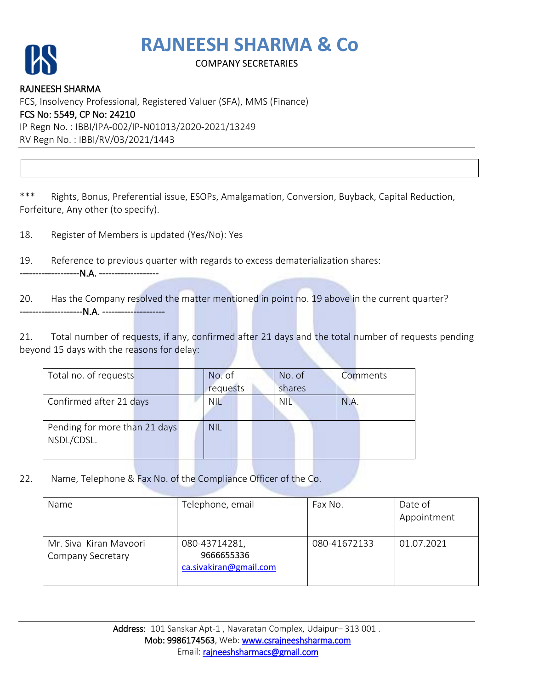

### COMPANY SECRETARIES

RAJNEESH SHARMA FCS, Insolvency Professional, Registered Valuer (SFA), MMS (Finance) FCS No: 5549, CP No: 24210 IP Regn No. : IBBI/IPA-002/IP-N01013/2020-2021/13249 RV Regn No. : IBBI/RV/03/2021/1443

\*\*\* Rights, Bonus, Preferential issue, ESOPs, Amalgamation, Conversion, Buyback, Capital Reduction, Forfeiture, Any other (to specify).

18. Register of Members is updated (Yes/No): Yes

19. Reference to previous quarter with regards to excess dematerialization shares:

--------N.A. --------------------

20. Has the Company resolved the matter mentioned in point no. 19 above in the current quarter? -------------N.A. --------<mark>---------</mark>

21. Total number of requests, if any, confirmed after 21 days and the total number of requests pending beyond 15 days with the reasons for delay:

| Total no. of requests         | No. of     | No. of     | Comments |
|-------------------------------|------------|------------|----------|
|                               | requests   | shares     |          |
| Confirmed after 21 days       | <b>NIL</b> | <b>NIL</b> | N.A.     |
|                               |            |            |          |
| Pending for more than 21 days | <b>NIL</b> |            |          |
| NSDL/CDSL.                    |            |            |          |
|                               |            |            |          |

22. Name, Telephone & Fax No. of the Compliance Officer of the Co.

| Name                                        | Telephone, email                                      | Fax No.      | Date of<br>Appointment |
|---------------------------------------------|-------------------------------------------------------|--------------|------------------------|
| Mr. Siva Kiran Mayoori<br>Company Secretary | 080-43714281,<br>9666655336<br>ca.sivakiran@gmail.com | 080-41672133 | 01.07.2021             |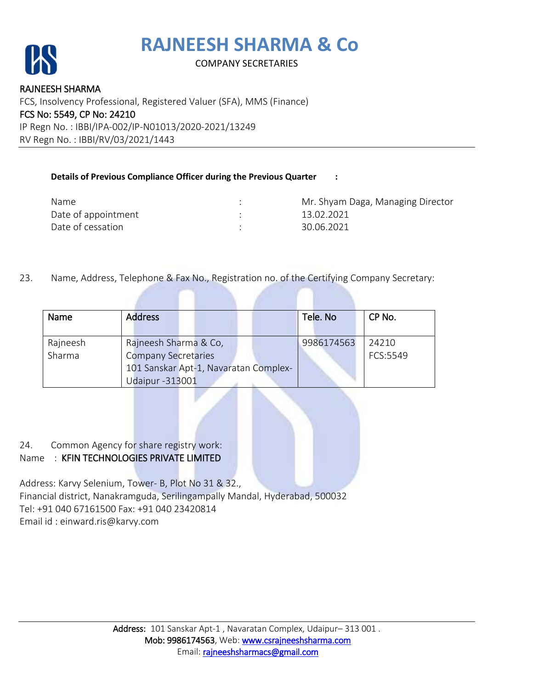

### COMPANY SECRETARIES

RAJNEESH SHARMA FCS, Insolvency Professional, Registered Valuer (SFA), MMS (Finance) FCS No: 5549, CP No: 24210 IP Regn No. : IBBI/IPA-002/IP-N01013/2020-2021/13249 RV Regn No. : IBBI/RV/03/2021/1443

#### **Details of Previous Compliance Officer during the Previous Quarter :**

| Name                | Mr. Shyam Daga, Managing Director |
|---------------------|-----------------------------------|
| Date of appointment | 13.02.2021                        |
| Date of cessation   | 30.06.2021                        |

23. Name, Address, Telephone & Fax No., Registration no. of the Certifying Company Secretary:

| <b>Name</b> | <b>Address</b>                        | Tele. No   | CP No.   |
|-------------|---------------------------------------|------------|----------|
|             |                                       |            |          |
|             |                                       |            |          |
| Rajneesh    | Rajneesh Sharma & Co,                 | 9986174563 | 24210    |
| Sharma      | <b>Company Secretaries</b>            |            | FCS:5549 |
|             | 101 Sanskar Apt-1, Navaratan Complex- |            |          |
|             | <b>Udaipur-313001</b>                 |            |          |

24. Common Agency for share registry work:

### Name : KFIN TECHNOLOGIES PRIVATE LIMITED

Address: Karvy Selenium, Tower- B, Plot No 31 & 32., Financial district, Nanakramguda, Serilingampally Mandal, Hyderabad, 500032 Tel: +91 040 67161500 Fax: +91 040 23420814 Email id : einward.ris@karvy.com